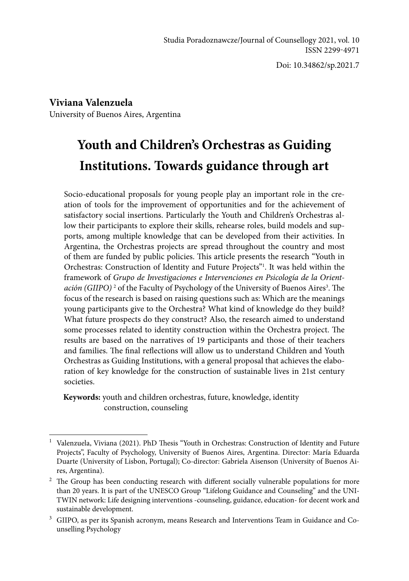Doi: 10.34862/sp.2021.7

**Viviana Valenzuela** University of Buenos Aires, Argentina

# **Youth and Children's Orchestras as Guiding Institutions. Towards guidance through art**

Socio-educational proposals for young people play an important role in the creation of tools for the improvement of opportunities and for the achievement of satisfactory social insertions. Particularly the Youth and Children's Orchestras allow their participants to explore their skills, rehearse roles, build models and supports, among multiple knowledge that can be developed from their activities. In Argentina, the Orchestras projects are spread throughout the country and most of them are funded by public policies. This article presents the research "Youth in Orchestras: Construction of Identity and Future Projects"<sup>1</sup>. It was held within the framework of *Grupo de Investigaciones e Intervenciones en Psicología de la Orient*ación (GIIPO)<sup>2</sup> of the Faculty of Psychology of the University of Buenos Aires<sup>3</sup>. The focus of the research is based on raising questions such as: Which are the meanings young participants give to the Orchestra? What kind of knowledge do they build? What future prospects do they construct? Also, the research aimed to understand some processes related to identity construction within the Orchestra project. The results are based on the narratives of 19 participants and those of their teachers and families. The final reflections will allow us to understand Children and Youth Orchestras as Guiding Institutions, with a general proposal that achieves the elaboration of key knowledge for the construction of sustainable lives in 21st century societies.

**Keywords:** youth and children orchestras, future, knowledge, identity construction, counseling

<sup>&</sup>lt;sup>1</sup> Valenzuela, Viviana (2021). PhD Thesis "Youth in Orchestras: Construction of Identity and Future Projects", Faculty of Psychology, University of Buenos Aires, Argentina. Director: María Eduarda Duarte (University of Lisbon, Portugal); Co-director: Gabriela Aisenson (University of Buenos Aires, Argentina).

<sup>&</sup>lt;sup>2</sup> The Group has been conducting research with different socially vulnerable populations for more than 20 years. It is part of the UNESCO Group "Lifelong Guidance and Counseling" and the UNI-TWIN network: Life designing interventions -counseling, guidance, education- for decent work and sustainable development.

<sup>&</sup>lt;sup>3</sup> GIIPO, as per its Spanish acronym, means Research and Interventions Team in Guidance and Counselling Psychology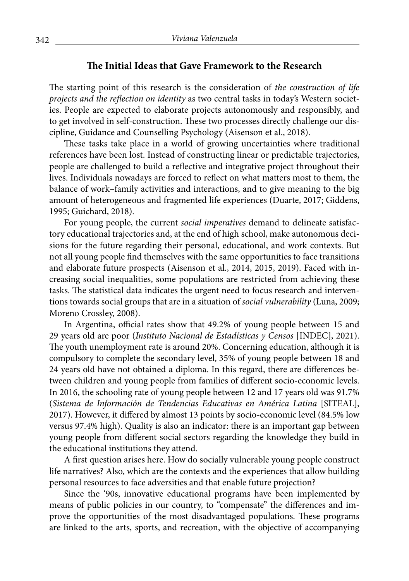#### **The Initial Ideas that Gave Framework to the Research**

The starting point of this research is the consideration of *the construction of life projects and the reflection on identity* as two central tasks in today's Western societies. People are expected to elaborate projects autonomously and responsibly, and to get involved in self-construction. These two processes directly challenge our discipline, Guidance and Counselling Psychology (Aisenson et al., 2018).

These tasks take place in a world of growing uncertainties where traditional references have been lost. Instead of constructing linear or predictable trajectories, people are challenged to build a reflective and integrative project throughout their lives. Individuals nowadays are forced to reflect on what matters most to them, the balance of work–family activities and interactions, and to give meaning to the big amount of heterogeneous and fragmented life experiences (Duarte, 2017; Giddens, 1995; Guichard, 2018).

For young people, the current *social imperatives* demand to delineate satisfactory educational trajectories and, at the end of high school, make autonomous decisions for the future regarding their personal, educational, and work contexts. But not all young people find themselves with the same opportunities to face transitions and elaborate future prospects (Aisenson et al., 2014, 2015, 2019). Faced with increasing social inequalities, some populations are restricted from achieving these tasks. The statistical data indicates the urgent need to focus research and interventions towards social groups that are in a situation of *social vulnerability* (Luna, 2009; Moreno Crossley, 2008).

In Argentina, official rates show that 49.2% of young people between 15 and 29 years old are poor (*Instituto Nacional de Estadísticas y Censos* [INDEC], 2021). The youth unemployment rate is around 20%. Concerning education, although it is compulsory to complete the secondary level, 35% of young people between 18 and 24 years old have not obtained a diploma. In this regard, there are differences between children and young people from families of different socio-economic levels. In 2016, the schooling rate of young people between 12 and 17 years old was 91.7% (*Sistema de Información de Tendencias Educativas en América Latina* [SITEAL], 2017). However, it differed by almost 13 points by socio-economic level (84.5% low versus 97.4% high). Quality is also an indicator: there is an important gap between young people from different social sectors regarding the knowledge they build in the educational institutions they attend.

A first question arises here. How do socially vulnerable young people construct life narratives? Also, which are the contexts and the experiences that allow building personal resources to face adversities and that enable future projection?

Since the '90s, innovative educational programs have been implemented by means of public policies in our country, to "compensate" the differences and improve the opportunities of the most disadvantaged populations. These programs are linked to the arts, sports, and recreation, with the objective of accompanying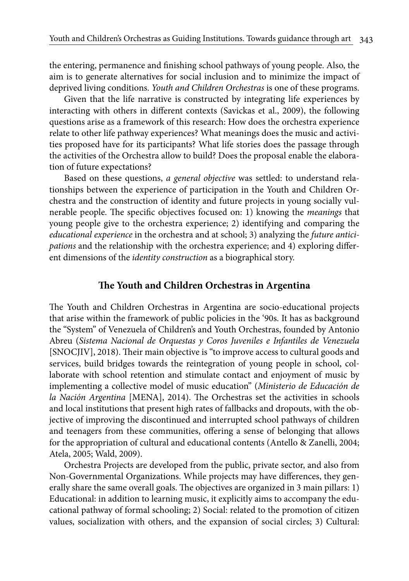the entering, permanence and finishing school pathways of young people. Also, the aim is to generate alternatives for social inclusion and to minimize the impact of deprived living conditions. *Youth and Children Orchestras* is one of these programs.

Given that the life narrative is constructed by integrating life experiences by interacting with others in different contexts (Savickas et al., 2009), the following questions arise as a framework of this research: How does the orchestra experience relate to other life pathway experiences? What meanings does the music and activities proposed have for its participants? What life stories does the passage through the activities of the Orchestra allow to build? Does the proposal enable the elaboration of future expectations?

Based on these questions, *a general objective* was settled: to understand relationships between the experience of participation in the Youth and Children Orchestra and the construction of identity and future projects in young socially vulnerable people. The specific objectives focused on: 1) knowing the *meanings* that young people give to the orchestra experience; 2) identifying and comparing the *educational experience* in the orchestra and at school; 3) analyzing the *future anticipations* and the relationship with the orchestra experience; and 4) exploring different dimensions of the *identity construction* as a biographical story.

#### **The Youth and Children Orchestras in Argentina**

The Youth and Children Orchestras in Argentina are socio-educational projects that arise within the framework of public policies in the '90s. It has as background the "System" of Venezuela of Children's and Youth Orchestras, founded by Antonio Abreu (*Sistema Nacional de Orquestas y Coros Juveniles e Infantiles de Venezuela*  [SNOCJIV], 2018). Their main objective is "to improve access to cultural goods and services, build bridges towards the reintegration of young people in school, collaborate with school retention and stimulate contact and enjoyment of music by implementing a collective model of music education" (*Ministerio de Educación de la Nación Argentina* [MENA], 2014). The Orchestras set the activities in schools and local institutions that present high rates of fallbacks and dropouts, with the objective of improving the discontinued and interrupted school pathways of children and teenagers from these communities, offering a sense of belonging that allows for the appropriation of cultural and educational contents (Antello & Zanelli, 2004; Atela, 2005; Wald, 2009).

Orchestra Projects are developed from the public, private sector, and also from Non-Governmental Organizations. While projects may have differences, they generally share the same overall goals. The objectives are organized in 3 main pillars: 1) Educational: in addition to learning music, it explicitly aims to accompany the educational pathway of formal schooling; 2) Social: related to the promotion of citizen values, socialization with others, and the expansion of social circles; 3) Cultural: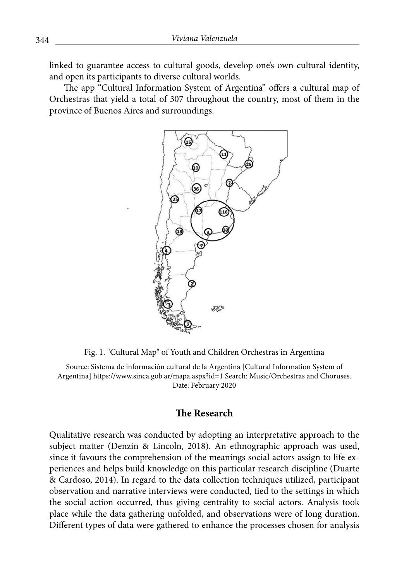linked to guarantee access to cultural goods, develop one's own cultural identity, and open its participants to diverse cultural worlds.

The app "Cultural Information System of Argentina" offers a cultural map of Orchestras that yield a total of 307 throughout the country, most of them in the province of Buenos Aires and surroundings.



Fig. 1. "Cultural Map" of Youth and Children Orchestras in Argentina

Source: Sistema de información cultural de la Argentina [Cultural Information System of Argentina] https://www.sinca.gob.ar/mapa.aspx?id=1 Search: Music/Orchestras and Choruses. Date: February 2020

#### **The Research**

Qualitative research was conducted by adopting an interpretative approach to the subject matter (Denzin & Lincoln, 2018). An ethnographic approach was used, since it favours the comprehension of the meanings social actors assign to life experiences and helps build knowledge on this particular research discipline (Duarte & Cardoso, 2014). In regard to the data collection techniques utilized, participant observation and narrative interviews were conducted, tied to the settings in which the social action occurred, thus giving centrality to social actors. Analysis took place while the data gathering unfolded, and observations were of long duration. Different types of data were gathered to enhance the processes chosen for analysis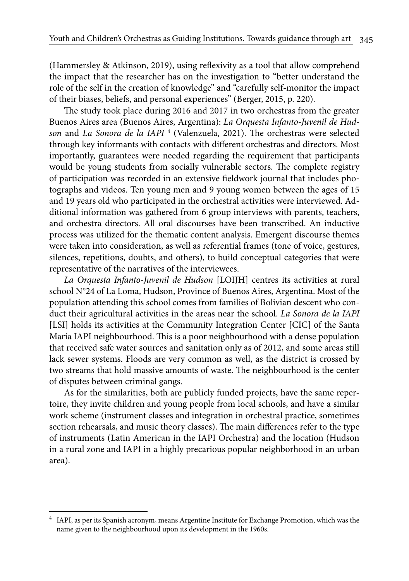(Hammersley & Atkinson, 2019), using reflexivity as a tool that allow comprehend the impact that the researcher has on the investigation to "better understand the role of the self in the creation of knowledge" and "carefully self-monitor the impact of their biases, beliefs, and personal experiences" (Berger, 2015, p. 220).

The study took place during 2016 and 2017 in two orchestras from the greater Buenos Aires area (Buenos Aires, Argentina): *La Orquesta Infanto-Juvenil de Hudson* and *La Sonora de la IAPI* <sup>4</sup> (Valenzuela, 2021). The orchestras were selected through key informants with contacts with different orchestras and directors. Most importantly, guarantees were needed regarding the requirement that participants would be young students from socially vulnerable sectors. The complete registry of participation was recorded in an extensive fieldwork journal that includes photographs and videos. Ten young men and 9 young women between the ages of 15 and 19 years old who participated in the orchestral activities were interviewed. Additional information was gathered from 6 group interviews with parents, teachers, and orchestra directors. All oral discourses have been transcribed. An inductive process was utilized for the thematic content analysis. Emergent discourse themes were taken into consideration, as well as referential frames (tone of voice, gestures, silences, repetitions, doubts, and others), to build conceptual categories that were representative of the narratives of the interviewees.

*La Orquesta Infanto-Juvenil de Hudson* [LOIJH] centres its activities at rural school N°24 of La Loma, Hudson, Province of Buenos Aires, Argentina. Most of the population attending this school comes from families of Bolivian descent who conduct their agricultural activities in the areas near the school. *La Sonora de la IAPI* [LSI] holds its activities at the Community Integration Center [CIC] of the Santa María IAPI neighbourhood. This is a poor neighbourhood with a dense population that received safe water sources and sanitation only as of 2012, and some areas still lack sewer systems. Floods are very common as well, as the district is crossed by two streams that hold massive amounts of waste. The neighbourhood is the center of disputes between criminal gangs.

As for the similarities, both are publicly funded projects, have the same repertoire, they invite children and young people from local schools, and have a similar work scheme (instrument classes and integration in orchestral practice, sometimes section rehearsals, and music theory classes). The main differences refer to the type of instruments (Latin American in the IAPI Orchestra) and the location (Hudson in a rural zone and IAPI in a highly precarious popular neighborhood in an urban area).

<sup>4</sup> IAPI, as per its Spanish acronym, means Argentine Institute for Exchange Promotion, which was the name given to the neighbourhood upon its development in the 1960s.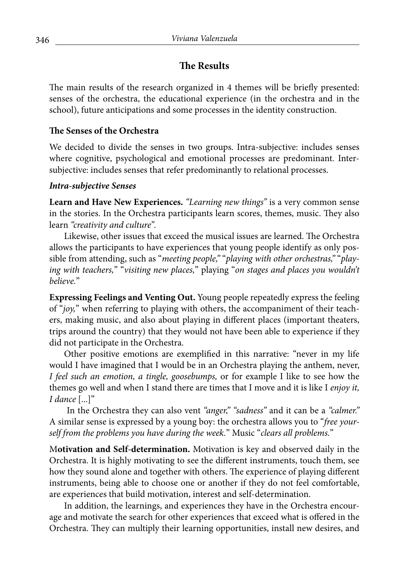# **The Results**

The main results of the research organized in 4 themes will be briefly presented: senses of the orchestra, the educational experience (in the orchestra and in the school), future anticipations and some processes in the identity construction.

## **The Senses of the Orchestra**

We decided to divide the senses in two groups. Intra-subjective: includes senses where cognitive, psychological and emotional processes are predominant. Intersubjective: includes senses that refer predominantly to relational processes.

#### *Intra-subjective Senses*

**Learn and Have New Experiences.** *"Learning new things"* is a very common sense in the stories. In the Orchestra participants learn scores, themes, music. They also learn *"creativity and culture".*

Likewise, other issues that exceed the musical issues are learned. The Orchestra allows the participants to have experiences that young people identify as only possible from attending, such as "*meeting people,''* "*playing with other orchestras,"* "*playing with teachers,*" "*visiting new places,*" playing "*on stages and places you wouldn't believe.*"

**Expressing Feelings and Venting Out.** Young people repeatedly express the feeling of "*joy,*" when referring to playing with others, the accompaniment of their teachers, making music, and also about playing in different places (important theaters, trips around the country) that they would not have been able to experience if they did not participate in the Orchestra.

Other positive emotions are exemplified in this narrative: "never in my life would I have imagined that I would be in an Orchestra playing the anthem, never, *I feel such an emotion, a tingle, goosebumps,* or for example I like to see how the themes go well and when I stand there are times that I move and it is like I *enjoy it, I dance* [...]"

 In the Orchestra they can also vent *"anger," "sadness"* and it can be a *"calmer."* A similar sense is expressed by a young boy: the orchestra allows you to "*free yourself from the problems you have during the week.*" Music "*clears all problems.*"

M**otivation and Self-determination.** Motivation is key and observed daily in the Orchestra. It is highly motivating to see the different instruments, touch them, see how they sound alone and together with others. The experience of playing different instruments, being able to choose one or another if they do not feel comfortable, are experiences that build motivation, interest and self-determination.

In addition, the learnings, and experiences they have in the Orchestra encourage and motivate the search for other experiences that exceed what is offered in the Orchestra. They can multiply their learning opportunities, install new desires, and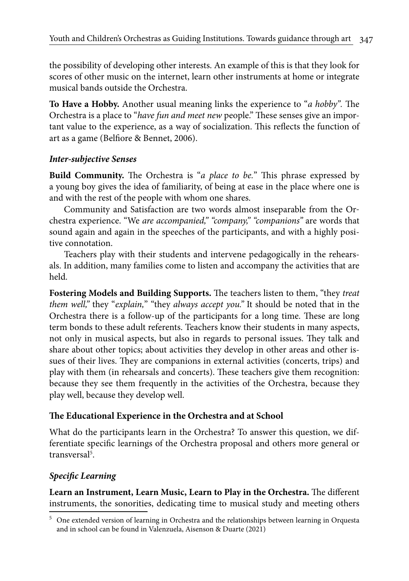the possibility of developing other interests. An example of this is that they look for scores of other music on the internet, learn other instruments at home or integrate musical bands outside the Orchestra.

**To Have a Hobby.** Another usual meaning links the experience to "*a hobby".* The Orchestra is a place to "*have fun and meet new* people." These senses give an important value to the experience, as a way of socialization. This reflects the function of art as a game (Belfiore & Bennet, 2006).

## *Inter-subjective Senses*

**Build Community.** The Orchestra is "*a place to be.*" This phrase expressed by a young boy gives the idea of familiarity, of being at ease in the place where one is and with the rest of the people with whom one shares.

Community and Satisfaction are two words almost inseparable from the Orchestra experience. "We *are accompanied," "company," "companions"* are words that sound again and again in the speeches of the participants, and with a highly positive connotation.

Teachers play with their students and intervene pedagogically in the rehearsals. In addition, many families come to listen and accompany the activities that are held.

**Fostering Models and Building Supports.** The teachers listen to them, "they *treat them well,"* they "*explain,*" "they *always accept you."* It should be noted that in the Orchestra there is a follow-up of the participants for a long time. These are long term bonds to these adult referents. Teachers know their students in many aspects, not only in musical aspects, but also in regards to personal issues. They talk and share about other topics; about activities they develop in other areas and other issues of their lives. They are companions in external activities (concerts, trips) and play with them (in rehearsals and concerts). These teachers give them recognition: because they see them frequently in the activities of the Orchestra, because they play well, because they develop well.

# **The Educational Experience in the Orchestra and at School**

What do the participants learn in the Orchestra? To answer this question, we differentiate specific learnings of the Orchestra proposal and others more general or transversal<sup>5</sup>.

# *Specific Learning*

**Learn an Instrument, Learn Music, Learn to Play in the Orchestra.** The different instruments, the sonorities, dedicating time to musical study and meeting others

<sup>&</sup>lt;sup>5</sup> One extended version of learning in Orchestra and the relationships between learning in Orquesta and in school can be found in Valenzuela, Aisenson & Duarte (2021)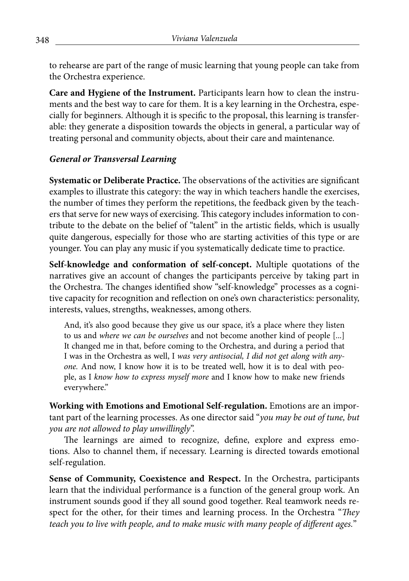to rehearse are part of the range of music learning that young people can take from the Orchestra experience.

**Care and Hygiene of the Instrument.** Participants learn how to clean the instruments and the best way to care for them. It is a key learning in the Orchestra, especially for beginners. Although it is specific to the proposal, this learning is transferable: they generate a disposition towards the objects in general, a particular way of treating personal and community objects, about their care and maintenance.

## *General or Transversal Learning*

**Systematic or Deliberate Practice.** The observations of the activities are significant examples to illustrate this category: the way in which teachers handle the exercises, the number of times they perform the repetitions, the feedback given by the teachers that serve for new ways of exercising. This category includes information to contribute to the debate on the belief of "talent" in the artistic fields, which is usually quite dangerous, especially for those who are starting activities of this type or are younger. You can play any music if you systematically dedicate time to practice.

**Self-knowledge and conformation of self-concept.** Multiple quotations of the narratives give an account of changes the participants perceive by taking part in the Orchestra. The changes identified show "self-knowledge" processes as a cognitive capacity for recognition and reflection on one's own characteristics: personality, interests, values, strengths, weaknesses, among others.

And, it's also good because they give us our space, it's a place where they listen to us and *where we can be ourselves* and not become another kind of people [...] It changed me in that, before coming to the Orchestra, and during a period that I was in the Orchestra as well, I *was very antisocial, I did not get along with anyone.* And now, I know how it is to be treated well, how it is to deal with people, as I *know how to express myself more* and I know how to make new friends everywhere."

**Working with Emotions and Emotional Self-regulation.** Emotions are an important part of the learning processes. As one director said "*you may be out of tune, but you are not allowed to play unwillingly*".

The learnings are aimed to recognize, define, explore and express emotions. Also to channel them, if necessary. Learning is directed towards emotional self-regulation.

**Sense of Community, Coexistence and Respect.** In the Orchestra, participants learn that the individual performance is a function of the general group work. An instrument sounds good if they all sound good together. Real teamwork needs respect for the other, for their times and learning process. In the Orchestra "*They teach you to live with people, and to make music with many people of different ages.*"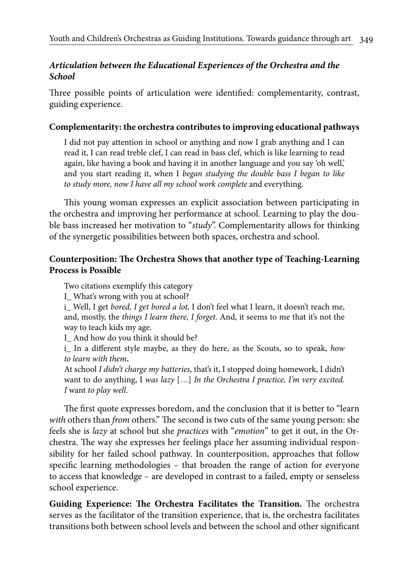## *Articulation between the Educational Experiences of the Orchestra and the School*

Three possible points of articulation were identified: complementarity, contrast, guiding experience.

#### **Complementarity: the orchestra contributes to improving educational pathways**

I did not pay attention in school or anything and now I grab anything and I can read it, I can read treble clef, I can read in bass clef, which is like learning to read again, like having a book and having it in another language and you say 'oh well,' and you start reading it, when I *began studying the double bass I began to like to study more, now I have all my school work complete* and everything.

This young woman expresses an explicit association between participating in the orchestra and improving her performance at school. Learning to play the double bass increased her motivation to "*study*". Complementarity allows for thinking of the synergetic possibilities between both spaces, orchestra and school.

## **Counterposition: The Orchestra Shows that another type of Teaching-Learning Process is Possible**

Two citations exemplify this category

I\_ What's wrong with you at school?

i\_ Well, I get *bored, I get bored a lot,* I don't feel what I learn, it doesn't reach me, and, mostly, the *things I learn there, I forget*. And, it seems to me that it's not the way to teach kids my age.

I\_ And how do you think it should be?

i\_ In a different style maybe, as they do here, as the Scouts, so to speak, *how to learn with them***.**

At school *I didn't charge my batteries*, that's it, I stopped doing homework, I didn't want to do anything, I *was lazy* […] *In the Orchestra I practice, I'm very excited. I* want *to play well*.

The first quote expresses boredom, and the conclusion that it is better to "learn *with* others than *from* others." The second is two cuts of the same young person: she feels she is *lazy* at school but she *practices* with "*emotion*" to get it out, in the Orchestra. The way she expresses her feelings place her assuming individual responsibility for her failed school pathway. In counterposition, approaches that follow specific learning methodologies – that broaden the range of action for everyone to access that knowledge – are developed in contrast to a failed, empty or senseless school experience.

**Guiding Experience: The Orchestra Facilitates the Transition.** The orchestra serves as the facilitator of the transition experience, that is, the orchestra facilitates transitions both between school levels and between the school and other significant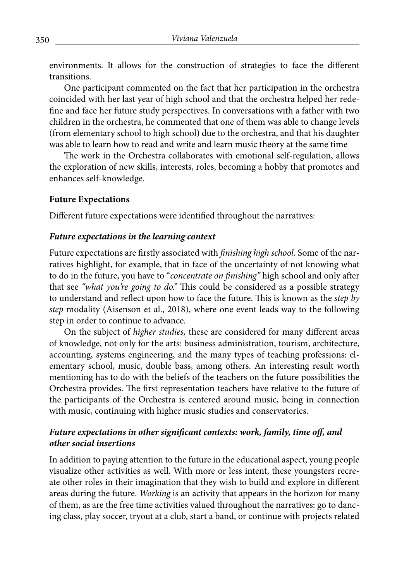environments. It allows for the construction of strategies to face the different transitions.

One participant commented on the fact that her participation in the orchestra coincided with her last year of high school and that the orchestra helped her redefine and face her future study perspectives. In conversations with a father with two children in the orchestra, he commented that one of them was able to change levels (from elementary school to high school) due to the orchestra, and that his daughter was able to learn how to read and write and learn music theory at the same time

The work in the Orchestra collaborates with emotional self-regulation, allows the exploration of new skills, interests, roles, becoming a hobby that promotes and enhances self-knowledge.

#### **Future Expectations**

Different future expectations were identified throughout the narratives:

#### *Future expectations in the learning context*

Future expectations are firstly associated with *finishing high school*. Some of the narratives highlight, for example, that in face of the uncertainty of not knowing what to do in the future, you have to "*concentrate on finishing"* high school and only after that see *"what you're going to do."* This could be considered as a possible strategy to understand and reflect upon how to face the future. This is known as the *step by step* modality (Aisenson et al., 2018), where one event leads way to the following step in order to continue to advance.

On the subject of *higher studies,* these are considered for many different areas of knowledge, not only for the arts: business administration, tourism, architecture, accounting, systems engineering, and the many types of teaching professions: elementary school, music, double bass, among others. An interesting result worth mentioning has to do with the beliefs of the teachers on the future possibilities the Orchestra provides. The first representation teachers have relative to the future of the participants of the Orchestra is centered around music, being in connection with music, continuing with higher music studies and conservatories.

#### *Future expectations in other significant contexts: work, family, time off, and other social insertions*

In addition to paying attention to the future in the educational aspect, young people visualize other activities as well. With more or less intent, these youngsters recreate other roles in their imagination that they wish to build and explore in different areas during the future. *Working* is an activity that appears in the horizon for many of them, as are the free time activities valued throughout the narratives: go to dancing class, play soccer, tryout at a club, start a band, or continue with projects related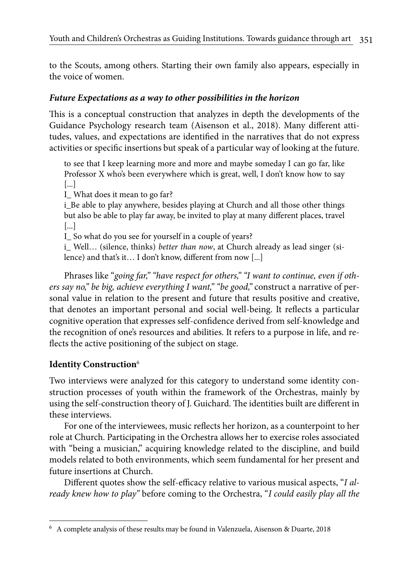to the Scouts, among others. Starting their own family also appears, especially in the voice of women.

## *Future Expectations as a way to other possibilities in the horizon*

This is a conceptual construction that analyzes in depth the developments of the Guidance Psychology research team (Aisenson et al., 2018). Many different attitudes, values, and expectations are identified in the narratives that do not express activities or specific insertions but speak of a particular way of looking at the future.

to see that I keep learning more and more and maybe someday I can go far, like Professor X who's been everywhere which is great, well, I don't know how to say [...]

I What does it mean to go far?

i\_Be able to play anywhere, besides playing at Church and all those other things but also be able to play far away, be invited to play at many different places, travel [...]

I\_ So what do you see for yourself in a couple of years?

i\_ Well… (silence, thinks) *better than now*, at Church already as lead singer (silence) and that's it… I don't know, different from now [...]

Phrases like "*going far," "have respect for others," "I want to continue, even if others say no," be big, achieve everything I want," "be good,"* construct a narrative of personal value in relation to the present and future that results positive and creative, that denotes an important personal and social well-being. It reflects a particular cognitive operation that expresses self-confidence derived from self-knowledge and the recognition of one's resources and abilities. It refers to a purpose in life, and reflects the active positioning of the subject on stage.

# **Identity Construction**<sup>6</sup>

Two interviews were analyzed for this category to understand some identity construction processes of youth within the framework of the Orchestras, mainly by using the self-construction theory of J. Guichard. The identities built are different in these interviews.

For one of the interviewees, music reflects her horizon, as a counterpoint to her role at Church. Participating in the Orchestra allows her to exercise roles associated with "being a musician," acquiring knowledge related to the discipline, and build models related to both environments, which seem fundamental for her present and future insertions at Church.

Different quotes show the self-efficacy relative to various musical aspects, "*I already knew how to play"* before coming to the Orchestra, "*I could easily play all the* 

<sup>6</sup> A complete analysis of these results may be found in Valenzuela, Aisenson & Duarte, 2018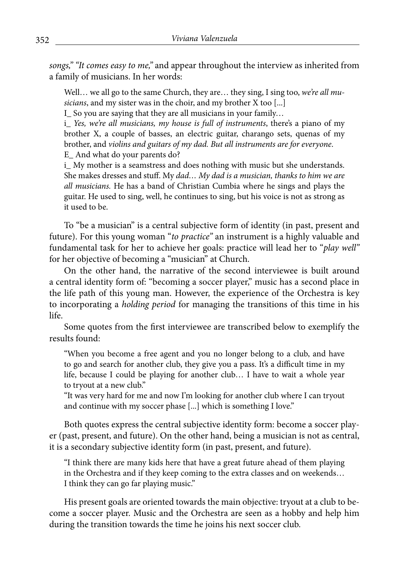*songs," "It comes easy to me,"* and appear throughout the interview as inherited from a family of musicians. In her words:

Well… we all go to the same Church, they are… they sing, I sing too, *we're all musicians*, and my sister was in the choir, and my brother X too [...]

I\_ So you are saying that they are all musicians in your family…

i\_ *Yes, we're all musicians, my house is full of instruments*, there's a piano of my brother X, a couple of basses, an electric guitar, charango sets, quenas of my brother, and *violins and guitars of my dad. But all instruments are for everyone*. E\_ And what do your parents do?

i\_ My mother is a seamstress and does nothing with music but she understands. She makes dresses and stuff. My *dad… My dad is a musician, thanks to him we are all musicians.* He has a band of Christian Cumbia where he sings and plays the guitar. He used to sing, well, he continues to sing, but his voice is not as strong as it used to be.

To "be a musician" is a central subjective form of identity (in past, present and future). For this young woman "*to practice"* an instrument is a highly valuable and fundamental task for her to achieve her goals: practice will lead her to "*play well"* for her objective of becoming a "musician" at Church.

On the other hand, the narrative of the second interviewee is built around a central identity form of: "becoming a soccer player," music has a second place in the life path of this young man. However, the experience of the Orchestra is key to incorporating a *holding period* for managing the transitions of this time in his life.

Some quotes from the first interviewee are transcribed below to exemplify the results found:

"When you become a free agent and you no longer belong to a club, and have to go and search for another club, they give you a pass. It's a difficult time in my life, because I could be playing for another club… I have to wait a whole year to tryout at a new club."

"It was very hard for me and now I'm looking for another club where I can tryout and continue with my soccer phase [...] which is something I love."

Both quotes express the central subjective identity form: become a soccer player (past, present, and future). On the other hand, being a musician is not as central, it is a secondary subjective identity form (in past, present, and future).

"I think there are many kids here that have a great future ahead of them playing in the Orchestra and if they keep coming to the extra classes and on weekends… I think they can go far playing music."

His present goals are oriented towards the main objective: tryout at a club to become a soccer player. Music and the Orchestra are seen as a hobby and help him during the transition towards the time he joins his next soccer club.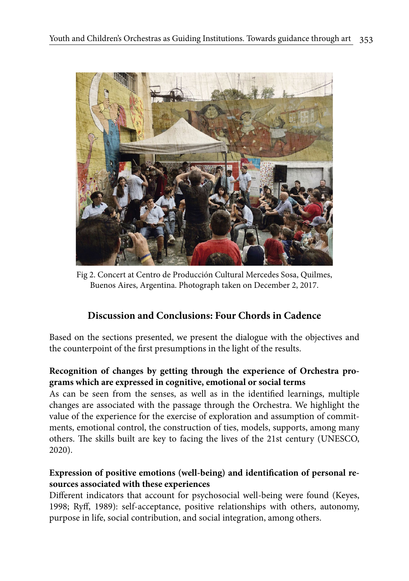

Fig 2. Concert at Centro de Producción Cultural Mercedes Sosa, Quilmes, Buenos Aires, Argentina. Photograph taken on December 2, 2017.

# **Discussion and Conclusions: Four Chords in Cadence**

Based on the sections presented, we present the dialogue with the objectives and the counterpoint of the first presumptions in the light of the results.

# **Recognition of changes by getting through the experience of Orchestra programs which are expressed in cognitive, emotional or social terms**

As can be seen from the senses, as well as in the identified learnings, multiple changes are associated with the passage through the Orchestra. We highlight the value of the experience for the exercise of exploration and assumption of commitments, emotional control, the construction of ties, models, supports, among many others. The skills built are key to facing the lives of the 21st century (UNESCO, 2020).

# **Expression of positive emotions (well-being) and identification of personal resources associated with these experiences**

Different indicators that account for psychosocial well-being were found (Keyes, 1998; Ryff, 1989): self-acceptance, positive relationships with others, autonomy, purpose in life, social contribution, and social integration, among others.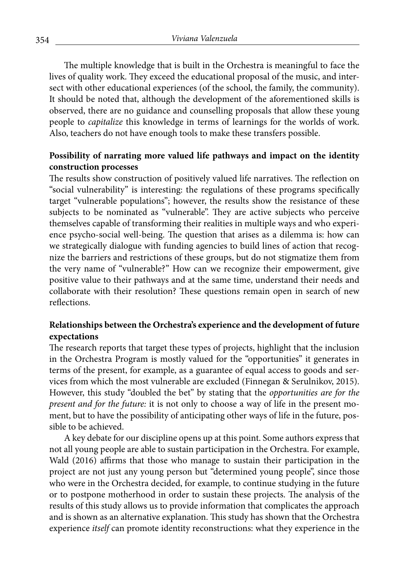The multiple knowledge that is built in the Orchestra is meaningful to face the lives of quality work. They exceed the educational proposal of the music, and intersect with other educational experiences (of the school, the family, the community). It should be noted that, although the development of the aforementioned skills is observed, there are no guidance and counselling proposals that allow these young people to *capitalize* this knowledge in terms of learnings for the worlds of work. Also, teachers do not have enough tools to make these transfers possible.

#### **Possibility of narrating more valued life pathways and impact on the identity construction processes**

The results show construction of positively valued life narratives. The reflection on "social vulnerability" is interesting: the regulations of these programs specifically target "vulnerable populations"; however, the results show the resistance of these subjects to be nominated as "vulnerable". They are active subjects who perceive themselves capable of transforming their realities in multiple ways and who experience psycho-social well-being. The question that arises as a dilemma is: how can we strategically dialogue with funding agencies to build lines of action that recognize the barriers and restrictions of these groups, but do not stigmatize them from the very name of "vulnerable?" How can we recognize their empowerment, give positive value to their pathways and at the same time, understand their needs and collaborate with their resolution? These questions remain open in search of new reflections.

## **Relationships between the Orchestra's experience and the development of future expectations**

The research reports that target these types of projects, highlight that the inclusion in the Orchestra Program is mostly valued for the "opportunities" it generates in terms of the present, for example, as a guarantee of equal access to goods and services from which the most vulnerable are excluded (Finnegan & Serulnikov, 2015). However, this study "doubled the bet" by stating that the *opportunities are for the present and for the future:* it is not only to choose a way of life in the present moment, but to have the possibility of anticipating other ways of life in the future, possible to be achieved.

A key debate for our discipline opens up at this point. Some authors express that not all young people are able to sustain participation in the Orchestra. For example, Wald (2016) affirms that those who manage to sustain their participation in the project are not just any young person but "determined young people", since those who were in the Orchestra decided, for example, to continue studying in the future or to postpone motherhood in order to sustain these projects. The analysis of the results of this study allows us to provide information that complicates the approach and is shown as an alternative explanation. This study has shown that the Orchestra experience *itself* can promote identity reconstructions: what they experience in the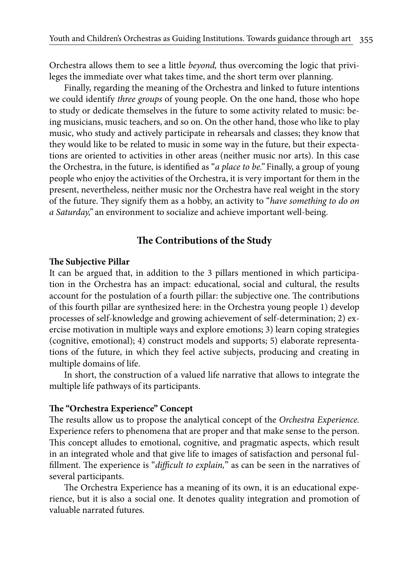Orchestra allows them to see a little *beyond,* thus overcoming the logic that privileges the immediate over what takes time, and the short term over planning.

Finally, regarding the meaning of the Orchestra and linked to future intentions we could identify *three groups* of young people. On the one hand, those who hope to study or dedicate themselves in the future to some activity related to music: being musicians, music teachers, and so on. On the other hand, those who like to play music, who study and actively participate in rehearsals and classes; they know that they would like to be related to music in some way in the future, but their expectations are oriented to activities in other areas (neither music nor arts). In this case the Orchestra, in the future, is identified as "*a place to be.''* Finally, a group of young people who enjoy the activities of the Orchestra, it is very important for them in the present, nevertheless, neither music nor the Orchestra have real weight in the story of the future. They signify them as a hobby, an activity to "*have something to do on a Saturday,"* an environment to socialize and achieve important well-being.

#### **The Contributions of the Study**

#### **The Subjective Pillar**

It can be argued that, in addition to the 3 pillars mentioned in which participation in the Orchestra has an impact: educational, social and cultural, the results account for the postulation of a fourth pillar: the subjective one. The contributions of this fourth pillar are synthesized here: in the Orchestra young people 1) develop processes of self-knowledge and growing achievement of self-determination; 2) exercise motivation in multiple ways and explore emotions; 3) learn coping strategies (cognitive, emotional); 4) construct models and supports; 5) elaborate representations of the future, in which they feel active subjects, producing and creating in multiple domains of life.

In short, the construction of a valued life narrative that allows to integrate the multiple life pathways of its participants.

#### **The "Orchestra Experience" Concept**

The results allow us to propose the analytical concept of the *Orchestra Experience.* Experience refers to phenomena that are proper and that make sense to the person. This concept alludes to emotional, cognitive, and pragmatic aspects, which result in an integrated whole and that give life to images of satisfaction and personal fulfillment. The experience is "*difficult to explain,*" as can be seen in the narratives of several participants.

The Orchestra Experience has a meaning of its own, it is an educational experience, but it is also a social one. It denotes quality integration and promotion of valuable narrated futures.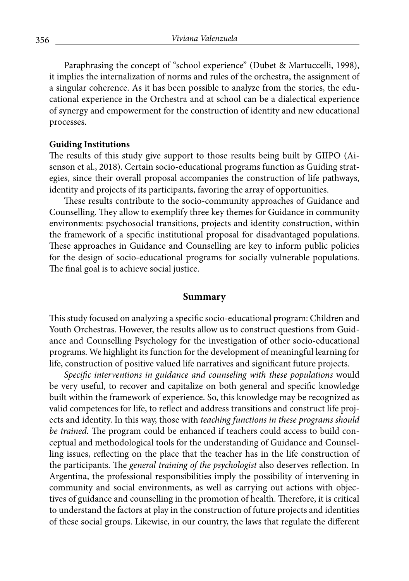Paraphrasing the concept of "school experience" (Dubet & Martuccelli, 1998), it implies the internalization of norms and rules of the orchestra, the assignment of a singular coherence. As it has been possible to analyze from the stories, the educational experience in the Orchestra and at school can be a dialectical experience of synergy and empowerment for the construction of identity and new educational processes.

#### **Guiding Institutions**

The results of this study give support to those results being built by GIIPO (Aisenson et al., 2018). Certain socio-educational programs function as Guiding strategies, since their overall proposal accompanies the construction of life pathways, identity and projects of its participants, favoring the array of opportunities.

These results contribute to the socio-community approaches of Guidance and Counselling. They allow to exemplify three key themes for Guidance in community environments: psychosocial transitions, projects and identity construction, within the framework of a specific institutional proposal for disadvantaged populations. These approaches in Guidance and Counselling are key to inform public policies for the design of socio-educational programs for socially vulnerable populations. The final goal is to achieve social justice.

#### **Summary**

This study focused on analyzing a specific socio-educational program: Children and Youth Orchestras. However, the results allow us to construct questions from Guidance and Counselling Psychology for the investigation of other socio-educational programs. We highlight its function for the development of meaningful learning for life, construction of positive valued life narratives and significant future projects.

*Specific interventions in guidance and counseling with these populations* would be very useful, to recover and capitalize on both general and specific knowledge built within the framework of experience. So, this knowledge may be recognized as valid competences for life, to reflect and address transitions and construct life projects and identity. In this way, those with *teaching functions in these programs should be trained.* The program could be enhanced if teachers could access to build conceptual and methodological tools for the understanding of Guidance and Counselling issues, reflecting on the place that the teacher has in the life construction of the participants. The *general training of the psychologist* also deserves reflection. In Argentina, the professional responsibilities imply the possibility of intervening in community and social environments, as well as carrying out actions with objectives of guidance and counselling in the promotion of health. Therefore, it is critical to understand the factors at play in the construction of future projects and identities of these social groups. Likewise, in our country, the laws that regulate the different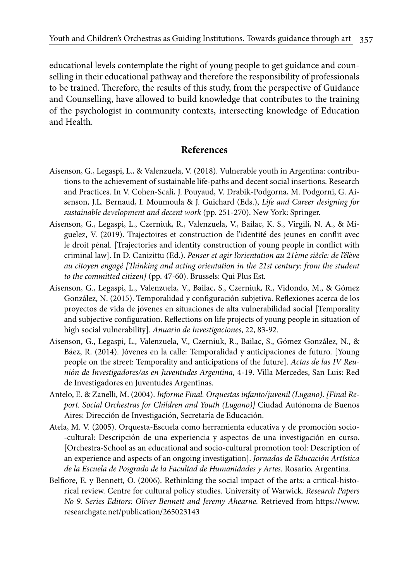educational levels contemplate the right of young people to get guidance and counselling in their educational pathway and therefore the responsibility of professionals to be trained. Therefore, the results of this study, from the perspective of Guidance and Counselling, have allowed to build knowledge that contributes to the training of the psychologist in community contexts, intersecting knowledge of Education and Health.

#### **References**

- Aisenson, G., Legaspi, L., & Valenzuela, V. (2018). Vulnerable youth in Argentina: contributions to the achievement of sustainable life-paths and decent social insertions. Research and Practices. In V. Cohen-Scali, J. Pouyaud, V. Drabik-Podgorna, M. Podgorni, G. Aisenson, J.L. Bernaud, I. Moumoula & J. Guichard (Eds.), *Life and Career designing for sustainable development and decent work* (pp. 251-270). New York: Springer.
- Aisenson, G., Legaspi, L., Czerniuk, R., Valenzuela, V., Bailac, K. S., Virgili, N. A., & Miguelez, V. (2019). Trajectoires et construction de l'identité des jeunes en conflit avec le droit pénal. [Trajectories and identity construction of young people in conflict with criminal law]. In D. Canizittu (Ed.). *Penser et agir l'orientation au 21ème siècle: de l'élève au citoyen engagé [Thinking and acting orientation in the 21st century: from the student to the committed citizen]* (pp. 47-60). Brussels: Qui Plus Est.
- Aisenson, G., Legaspi, L., Valenzuela, V., Bailac, S., Czerniuk, R., Vidondo, M., & Gómez González, N. (2015). Temporalidad y configuración subjetiva. Reflexiones acerca de los proyectos de vida de jóvenes en situaciones de alta vulnerabilidad social [Temporality and subjective configuration. Reflections on life projects of young people in situation of high social vulnerability]. *Anuario de Investigaciones*, 22, 83-92.
- Aisenson, G., Legaspi, L., Valenzuela, V., Czerniuk, R., Bailac, S., Gómez González, N., & Báez, R. (2014). Jóvenes en la calle: Temporalidad y anticipaciones de futuro. [Young people on the street: Temporality and anticipations of the future]. *Actas de las IV Reunión de Investigadores/as en Juventudes Argentina*, 4-19. Villa Mercedes, San Luis: Red de Investigadores en Juventudes Argentinas.
- Antelo, E. & Zanelli, M. (2004). *Informe Final. Orquestas infanto/juvenil (Lugano)*. *[Final Report. Social Orchestras for Children and Youth (Lugano)]* Ciudad Autónoma de Buenos Aires: Dirección de Investigación, Secretaría de Educación.
- Atela, M. V. (2005). Orquesta-Escuela como herramienta educativa y de promoción socio- -cultural: Descripción de una experiencia y aspectos de una investigación en curso. [Orchestra-School as an educational and socio-cultural promotion tool: Description of an experience and aspects of an ongoing investigation]. *Jornadas de Educación Artística de la Escuela de Posgrado de la Facultad de Humanidades y Artes.* Rosario, Argentina.
- Belfiore, E. y Bennett, O. (2006). Rethinking the social impact of the arts: a critical-historical review. Centre for cultural policy studies. University of Warwick. *Research Papers No 9. Series Editors: Oliver Bennett and Jeremy Ahearne.* Retrieved from https://www. researchgate.net/publication/265023143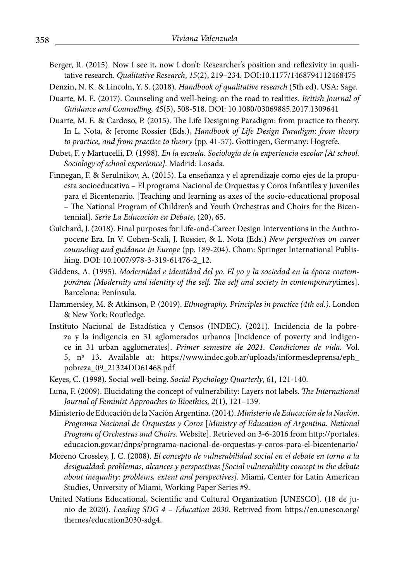- Berger, R. (2015). Now I see it, now I don't: Researcher's position and reflexivity in qualitative research. *Qualitative Research*, *15*(2), 219–234. DOI:10.1177/1468794112468475
- Denzin, N. K. & Lincoln, Y. S. (2018). *Handbook of qualitative research* (5th ed). USA: Sage.
- Duarte, M. E. (2017). Counseling and well-being: on the road to realities. *British Journal of Guidance and Counselling, 45*(5), 508-518. DOI: 10.1080/03069885.2017.1309641
- Duarte, M. E. & Cardoso, P. (2015). The Life Designing Paradigm: from practice to theory. In L. Nota, & Jerome Rossier (Eds.), *Handbook of Life Design Paradigm*: *from theory to practice, and from practice to theory* (pp. 41-57). Gottingen, Germany: Hogrefe.
- Dubet, F. y Martucelli, D. (1998). *En la escuela. Sociología de la experiencia escolar [At school. Sociology of school experience].* Madrid: Losada.
- Finnegan, F. & Serulnikov, A. (2015). La enseñanza y el aprendizaje como ejes de la propuesta socioeducativa – El programa Nacional de Orquestas y Coros Infantiles y Juveniles para el Bicentenario. [Teaching and learning as axes of the socio-educational proposal – The National Program of Children's and Youth Orchestras and Choirs for the Bicentennial]. *Serie La Educación en Debate,* (20), 65.
- Guichard, J. (2018). Final purposes for Life-and-Career Design Interventions in the Anthropocene Era. In V. Cohen-Scali, J. Rossier, & L. Nota (Eds.) *New perspectives on career counseling and guidance in Europe* (pp. 189-204). Cham: Springer International Publishing. DOI: 10.1007/978-3-319-61476-2\_12.
- Giddens, A. (1995). *Modernidad e identidad del yo. El yo y la sociedad en la época contemporánea [Modernity and identity of the self. The self and society in contemporary*times]. Barcelona: Península.
- Hammersley, M. & Atkinson, P. (2019). *Ethnography. Principles in practice (4th ed.).* London & New York: Routledge.
- Instituto Nacional de Estadística y Censos (INDEC). (2021). Incidencia de la pobreza y la indigencia en 31 aglomerados urbanos [Incidence of poverty and indigence in 31 urban agglomerates]. *Primer semestre de 2021. Condiciones de vida.* Vol. 5, nº 13. Available at: https://www.indec.gob.ar/uploads/informesdeprensa/eph\_ pobreza\_09\_21324DD61468.pdf
- Keyes, C. (1998). Social well-being. *Social Psychology Quarterly*, 61, 121-140.
- Luna, F. (2009). Elucidating the concept of vulnerability: Layers not labels. *The International Journal of Feminist Approaches to Bioethics, 2*(1), 121–139.
- Ministerio de Educación de la Nación Argentina. (2014). *Ministerio de Educación de la Nación*. *Programa Nacional de Orquestas y Coros* [*Ministry of Education of Argentina. National Program of Orchestras and Choirs.* Website]. Retrieved on 3-6-2016 from http://portales. educacion.gov.ar/dnps/programa-nacional-de-orquestas-y-coros-para-el-bicentenario/
- Moreno Crossley, J. C. (2008). *El concepto de vulnerabilidad social en el debate en torno a la desigualdad: problemas, alcances y perspectivas [Social vulnerability concept in the debate about inequality: problems, extent and perspectives]*. Miami, Center for Latin American Studies, University of Miami, Working Paper Series #9.
- United Nations Educational, Scientific and Cultural Organization [UNESCO]. (18 de junio de 2020). *Leading SDG 4 – Education 2030.* Retrived from https://en.unesco.org/ themes/education2030-sdg4.